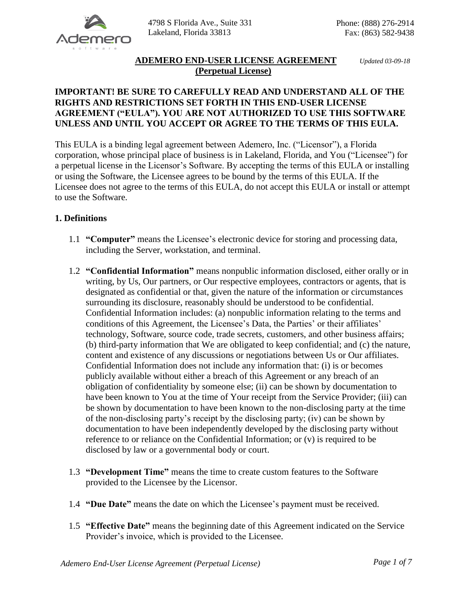

# **ADEMERO END-USER LICENSE AGREEMENT** *Updated 03-09-18* **(Perpetual License)**

## **IMPORTANT! BE SURE TO CAREFULLY READ AND UNDERSTAND ALL OF THE RIGHTS AND RESTRICTIONS SET FORTH IN THIS END-USER LICENSE AGREEMENT ("EULA"). YOU ARE NOT AUTHORIZED TO USE THIS SOFTWARE UNLESS AND UNTIL YOU ACCEPT OR AGREE TO THE TERMS OF THIS EULA.**

This EULA is a binding legal agreement between Ademero, Inc. ("Licensor"), a Florida corporation, whose principal place of business is in Lakeland, Florida, and You ("Licensee") for a perpetual license in the Licensor's Software. By accepting the terms of this EULA or installing or using the Software, the Licensee agrees to be bound by the terms of this EULA. If the Licensee does not agree to the terms of this EULA, do not accept this EULA or install or attempt to use the Software.

## **1. Definitions**

- 1.1 **"Computer"** means the Licensee's electronic device for storing and processing data, including the Server, workstation, and terminal.
- 1.2 **"Confidential Information"** means nonpublic information disclosed, either orally or in writing, by Us, Our partners, or Our respective employees, contractors or agents, that is designated as confidential or that, given the nature of the information or circumstances surrounding its disclosure, reasonably should be understood to be confidential. Confidential Information includes: (a) nonpublic information relating to the terms and conditions of this Agreement, the Licensee's Data, the Parties' or their affiliates' technology, Software, source code, trade secrets, customers, and other business affairs; (b) third-party information that We are obligated to keep confidential; and (c) the nature, content and existence of any discussions or negotiations between Us or Our affiliates. Confidential Information does not include any information that: (i) is or becomes publicly available without either a breach of this Agreement or any breach of an obligation of confidentiality by someone else; (ii) can be shown by documentation to have been known to You at the time of Your receipt from the Service Provider; (iii) can be shown by documentation to have been known to the non-disclosing party at the time of the non-disclosing party's receipt by the disclosing party; (iv) can be shown by documentation to have been independently developed by the disclosing party without reference to or reliance on the Confidential Information; or (v) is required to be disclosed by law or a governmental body or court.
- 1.3 **"Development Time"** means the time to create custom features to the Software provided to the Licensee by the Licensor.
- 1.4 **"Due Date"** means the date on which the Licensee's payment must be received.
- 1.5 **"Effective Date"** means the beginning date of this Agreement indicated on the Service Provider's invoice, which is provided to the Licensee.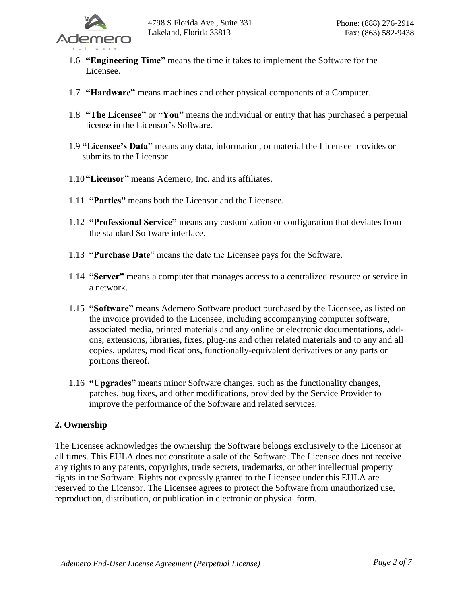

- 1.6 **"Engineering Time"** means the time it takes to implement the Software for the Licensee.
- 1.7 **"Hardware"** means machines and other physical components of a Computer.
- 1.8 **"The Licensee"** or **"You"** means the individual or entity that has purchased a perpetual license in the Licensor's Software.
- 1.9 **"Licensee's Data"** means any data, information, or material the Licensee provides or submits to the Licensor.
- 1.10 **"Licensor"** means Ademero, Inc. and its affiliates.
- 1.11 **"Parties"** means both the Licensor and the Licensee.
- 1.12 **"Professional Service"** means any customization or configuration that deviates from the standard Software interface.
- 1.13 **"Purchase Date**" means the date the Licensee pays for the Software.
- 1.14 **"Server"** means a computer that manages access to a centralized resource or service in a network.
- 1.15 **"Software"** means Ademero Software product purchased by the Licensee, as listed on the invoice provided to the Licensee, including accompanying computer software, associated media, printed materials and any online or electronic documentations, addons, extensions, libraries, fixes, plug-ins and other related materials and to any and all copies, updates, modifications, functionally-equivalent derivatives or any parts or portions thereof.
- 1.16 **"Upgrades"** means minor Software changes, such as the functionality changes, patches, bug fixes, and other modifications, provided by the Service Provider to improve the performance of the Software and related services.

#### **2. Ownership**

The Licensee acknowledges the ownership the Software belongs exclusively to the Licensor at all times. This EULA does not constitute a sale of the Software. The Licensee does not receive any rights to any patents, copyrights, trade secrets, trademarks, or other intellectual property rights in the Software. Rights not expressly granted to the Licensee under this EULA are reserved to the Licensor. The Licensee agrees to protect the Software from unauthorized use, reproduction, distribution, or publication in electronic or physical form.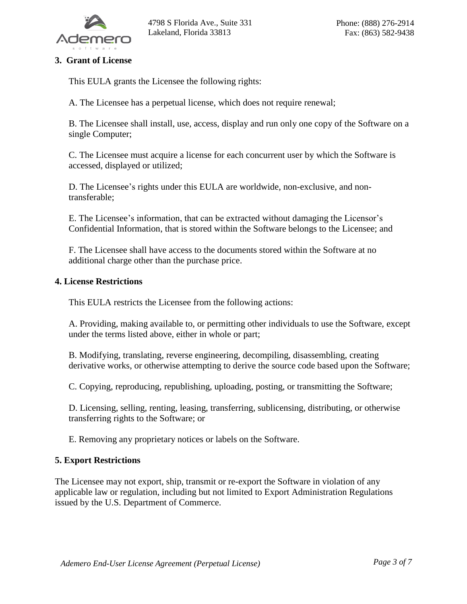

## **3. Grant of License**

This EULA grants the Licensee the following rights:

A. The Licensee has a perpetual license, which does not require renewal;

B. The Licensee shall install, use, access, display and run only one copy of the Software on a single Computer;

C. The Licensee must acquire a license for each concurrent user by which the Software is accessed, displayed or utilized;

D. The Licensee's rights under this EULA are worldwide, non-exclusive, and nontransferable;

E. The Licensee's information, that can be extracted without damaging the Licensor's Confidential Information, that is stored within the Software belongs to the Licensee; and

F. The Licensee shall have access to the documents stored within the Software at no additional charge other than the purchase price.

#### **4. License Restrictions**

This EULA restricts the Licensee from the following actions:

A. Providing, making available to, or permitting other individuals to use the Software, except under the terms listed above, either in whole or part;

B. Modifying, translating, reverse engineering, decompiling, disassembling, creating derivative works, or otherwise attempting to derive the source code based upon the Software;

C. Copying, reproducing, republishing, uploading, posting, or transmitting the Software;

D. Licensing, selling, renting, leasing, transferring, sublicensing, distributing, or otherwise transferring rights to the Software; or

E. Removing any proprietary notices or labels on the Software.

#### **5. Export Restrictions**

The Licensee may not export, ship, transmit or re-export the Software in violation of any applicable law or regulation, including but not limited to Export Administration Regulations issued by the U.S. Department of Commerce.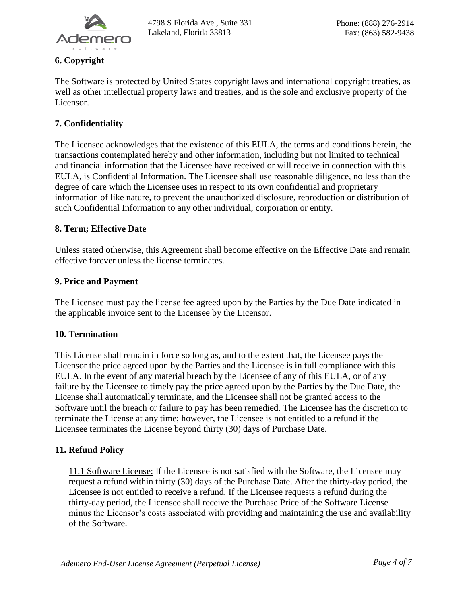

# **6. Copyright**

The Software is protected by United States copyright laws and international copyright treaties, as well as other intellectual property laws and treaties, and is the sole and exclusive property of the Licensor.

# **7. Confidentiality**

The Licensee acknowledges that the existence of this EULA, the terms and conditions herein, the transactions contemplated hereby and other information, including but not limited to technical and financial information that the Licensee have received or will receive in connection with this EULA, is Confidential Information. The Licensee shall use reasonable diligence, no less than the degree of care which the Licensee uses in respect to its own confidential and proprietary information of like nature, to prevent the unauthorized disclosure, reproduction or distribution of such Confidential Information to any other individual, corporation or entity.

### **8. Term; Effective Date**

Unless stated otherwise, this Agreement shall become effective on the Effective Date and remain effective forever unless the license terminates.

#### **9. Price and Payment**

The Licensee must pay the license fee agreed upon by the Parties by the Due Date indicated in the applicable invoice sent to the Licensee by the Licensor.

#### **10. Termination**

This License shall remain in force so long as, and to the extent that, the Licensee pays the Licensor the price agreed upon by the Parties and the Licensee is in full compliance with this EULA. In the event of any material breach by the Licensee of any of this EULA, or of any failure by the Licensee to timely pay the price agreed upon by the Parties by the Due Date, the License shall automatically terminate, and the Licensee shall not be granted access to the Software until the breach or failure to pay has been remedied. The Licensee has the discretion to terminate the License at any time; however, the Licensee is not entitled to a refund if the Licensee terminates the License beyond thirty (30) days of Purchase Date.

#### **11. Refund Policy**

11.1 Software License: If the Licensee is not satisfied with the Software, the Licensee may request a refund within thirty (30) days of the Purchase Date. After the thirty-day period, the Licensee is not entitled to receive a refund. If the Licensee requests a refund during the thirty-day period, the Licensee shall receive the Purchase Price of the Software License minus the Licensor's costs associated with providing and maintaining the use and availability of the Software.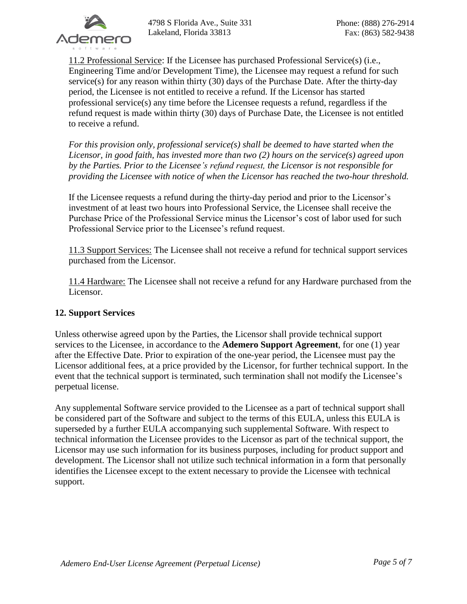

11.2 Professional Service: If the Licensee has purchased Professional Service(s) (i.e., Engineering Time and/or Development Time), the Licensee may request a refund for such service(s) for any reason within thirty (30) days of the Purchase Date. After the thirty-day period, the Licensee is not entitled to receive a refund. If the Licensor has started professional service(s) any time before the Licensee requests a refund, regardless if the refund request is made within thirty (30) days of Purchase Date, the Licensee is not entitled to receive a refund.

*For this provision only, professional service(s) shall be deemed to have started when the Licensor, in good faith, has invested more than two (2) hours on the service(s) agreed upon by the Parties. Prior to the Licensee's refund request, the Licensor is not responsible for providing the Licensee with notice of when the Licensor has reached the two-hour threshold.*

If the Licensee requests a refund during the thirty-day period and prior to the Licensor's investment of at least two hours into Professional Service, the Licensee shall receive the Purchase Price of the Professional Service minus the Licensor's cost of labor used for such Professional Service prior to the Licensee's refund request.

11.3 Support Services: The Licensee shall not receive a refund for technical support services purchased from the Licensor.

11.4 Hardware: The Licensee shall not receive a refund for any Hardware purchased from the Licensor.

## **12. Support Services**

Unless otherwise agreed upon by the Parties, the Licensor shall provide technical support services to the Licensee, in accordance to the **Ademero Support Agreement**, for one (1) year after the Effective Date. Prior to expiration of the one-year period, the Licensee must pay the Licensor additional fees, at a price provided by the Licensor, for further technical support. In the event that the technical support is terminated, such termination shall not modify the Licensee's perpetual license.

Any supplemental Software service provided to the Licensee as a part of technical support shall be considered part of the Software and subject to the terms of this EULA, unless this EULA is superseded by a further EULA accompanying such supplemental Software. With respect to technical information the Licensee provides to the Licensor as part of the technical support, the Licensor may use such information for its business purposes, including for product support and development. The Licensor shall not utilize such technical information in a form that personally identifies the Licensee except to the extent necessary to provide the Licensee with technical support.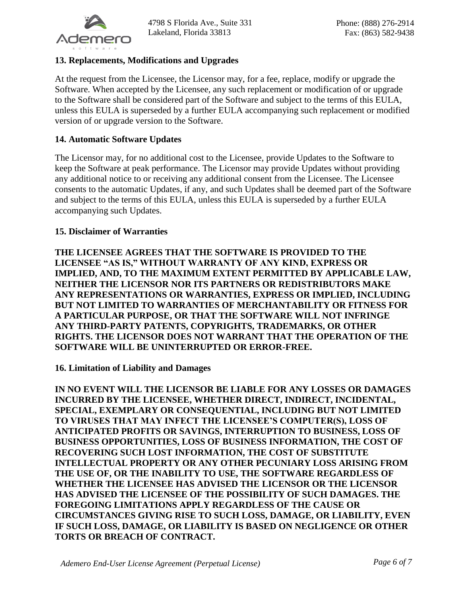

### **13. Replacements, Modifications and Upgrades**

At the request from the Licensee, the Licensor may, for a fee, replace, modify or upgrade the Software. When accepted by the Licensee, any such replacement or modification of or upgrade to the Software shall be considered part of the Software and subject to the terms of this EULA, unless this EULA is superseded by a further EULA accompanying such replacement or modified version of or upgrade version to the Software.

#### **14. Automatic Software Updates**

The Licensor may, for no additional cost to the Licensee, provide Updates to the Software to keep the Software at peak performance. The Licensor may provide Updates without providing any additional notice to or receiving any additional consent from the Licensee. The Licensee consents to the automatic Updates, if any, and such Updates shall be deemed part of the Software and subject to the terms of this EULA, unless this EULA is superseded by a further EULA accompanying such Updates.

#### **15. Disclaimer of Warranties**

**THE LICENSEE AGREES THAT THE SOFTWARE IS PROVIDED TO THE LICENSEE "AS IS," WITHOUT WARRANTY OF ANY KIND, EXPRESS OR IMPLIED, AND, TO THE MAXIMUM EXTENT PERMITTED BY APPLICABLE LAW, NEITHER THE LICENSOR NOR ITS PARTNERS OR REDISTRIBUTORS MAKE ANY REPRESENTATIONS OR WARRANTIES, EXPRESS OR IMPLIED, INCLUDING BUT NOT LIMITED TO WARRANTIES OF MERCHANTABILITY OR FITNESS FOR A PARTICULAR PURPOSE, OR THAT THE SOFTWARE WILL NOT INFRINGE ANY THIRD-PARTY PATENTS, COPYRIGHTS, TRADEMARKS, OR OTHER RIGHTS. THE LICENSOR DOES NOT WARRANT THAT THE OPERATION OF THE SOFTWARE WILL BE UNINTERRUPTED OR ERROR-FREE.**

#### **16. Limitation of Liability and Damages**

**IN NO EVENT WILL THE LICENSOR BE LIABLE FOR ANY LOSSES OR DAMAGES INCURRED BY THE LICENSEE, WHETHER DIRECT, INDIRECT, INCIDENTAL, SPECIAL, EXEMPLARY OR CONSEQUENTIAL, INCLUDING BUT NOT LIMITED TO VIRUSES THAT MAY INFECT THE LICENSEE'S COMPUTER(S), LOSS OF ANTICIPATED PROFITS OR SAVINGS, INTERRUPTION TO BUSINESS, LOSS OF BUSINESS OPPORTUNITIES, LOSS OF BUSINESS INFORMATION, THE COST OF RECOVERING SUCH LOST INFORMATION, THE COST OF SUBSTITUTE INTELLECTUAL PROPERTY OR ANY OTHER PECUNIARY LOSS ARISING FROM THE USE OF, OR THE INABILITY TO USE, THE SOFTWARE REGARDLESS OF WHETHER THE LICENSEE HAS ADVISED THE LICENSOR OR THE LICENSOR HAS ADVISED THE LICENSEE OF THE POSSIBILITY OF SUCH DAMAGES. THE FOREGOING LIMITATIONS APPLY REGARDLESS OF THE CAUSE OR CIRCUMSTANCES GIVING RISE TO SUCH LOSS, DAMAGE, OR LIABILITY, EVEN IF SUCH LOSS, DAMAGE, OR LIABILITY IS BASED ON NEGLIGENCE OR OTHER TORTS OR BREACH OF CONTRACT.**